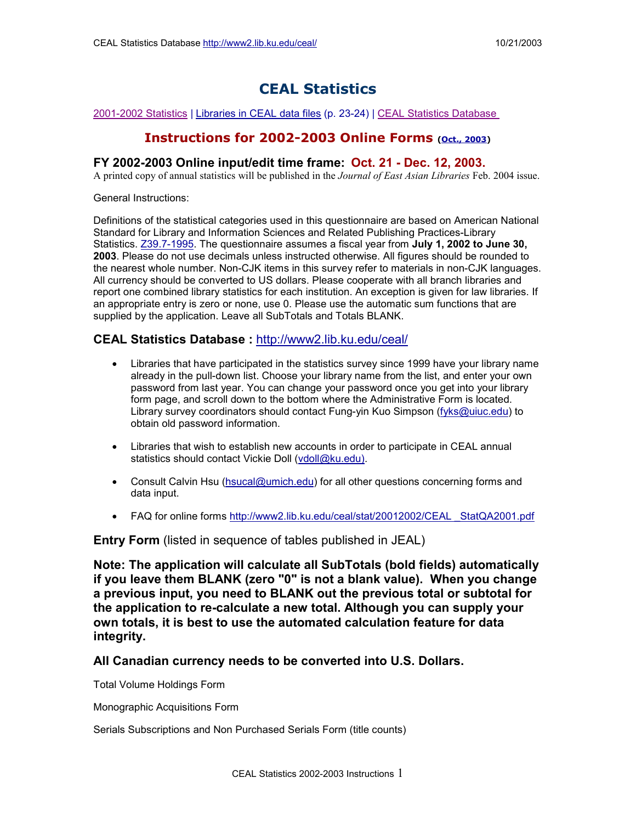# **CEAL Statistics**

#### 2001-2002 Statistics | Libraries in CEAL data files (p. 23-24) | CEAL Statistics Database

# **Instructions for 2002-2003 Online Forms (Oct., 2003)**

# **FY 2002-2003 Online input/edit time frame: Oct. 21 - Dec. 12, 2003.**

A printed copy of annual statistics will be published in the *Journal of East Asian Libraries* Feb. 2004 issue.

General Instructions:

Definitions of the statistical categories used in this questionnaire are based on American National Standard for Library and Information Sciences and Related Publishing Practices-Library Statistics. [Z39.7-1995.](http://www.niso.org/standards/resources/Z39-7.pdf) The questionnaire assumes a fiscal year from **July 1, 2002 to June 30, 2003**. Please do not use decimals unless instructed otherwise. All figures should be rounded to the nearest whole number. Non-CJK items in this survey refer to materials in non-CJK languages. All currency should be converted to US dollars. Please cooperate with all branch libraries and report one combined library statistics for each institution. An exception is given for law libraries. If an appropriate entry is zero or none, use 0. Please use the automatic sum functions that are supplied by the application. Leave all SubTotals and Totals BLANK.

# **CEAL Statistics Database :** [http://www2.lib.ku.edu/ceal/](http://www2.lib.ku.edu/ceal)

- Libraries that have participated in the statistics survey since 1999 have your library name already in the pull-down list. Choose your library name from the list, and enter your own password from last year. You can change your password once you get into your library form page, and scroll down to the bottom where the Administrative Form is located. Library survey coordinators should contact Fung-yin Kuo Simpson ([fyks@uiuc.edu\)](mailto:fyks@uiuc.edu) to obtain old password information.
- Libraries that wish to establish new accounts in order to participate in CEAL annual statistics should contact Vickie Doll [\(vdoll@ku.edu\)](mailto:vdoll@ku.edu).
- Consult Calvin Hsu [\(hsucal@umich.edu](mailto:hsucal@umich.edu)) for all other questions concerning forms and data input.
- FAQ for online forms http://www2.lib.ku.edu/ceal/stat/20012002/CEAL StatQA2001.pdf

**Entry Form** (listed in sequence of tables published in JEAL)

**Note: The application will calculate all SubTotals (bold fields) automatically if you leave them BLANK (zero "0" is not a blank value). When you change a previous input, you need to BLANK out the previous total or subtotal for the application to re-calculate a new total. Although you can supply your own totals, it is best to use the automated calculation feature for data integrity.**

# **All Canadian currency needs to be converted into U.S. Dollars.**

Total Volume Holdings Form

Monographic Acquisitions Form

Serials Subscriptions and Non Purchased Serials Form (title counts)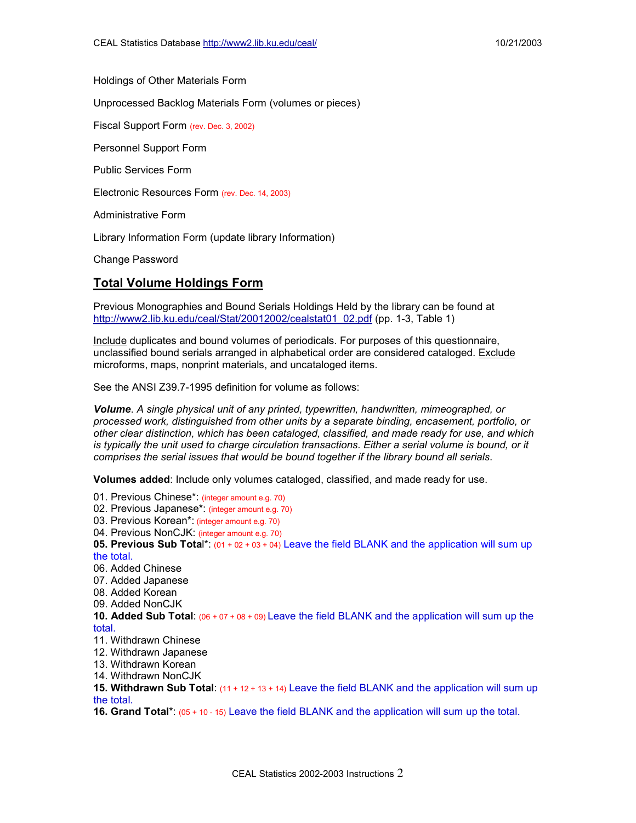Holdings of Other Materials Form

Unprocessed Backlog Materials Form (volumes or pieces)

Fiscal Support Form (rev. Dec. 3, 2002)

Personnel Support Form

Public Services Form

Electronic Resources Form (rev. Dec. 14, 2003)

Administrative Form

Library Information Form (update library Information)

Change Password

#### **Total Volume Holdings Form**

Previous Monographies and Bound Serials Holdings Held by the library can be found at [http://www2.lib.ku.edu/ceal/Stat/20012002/cealstat01\\_02.pdf](http://www2.lib.ku.edu/ceal/Stat/20012002/cealstat01_02.pdf) (pp. 1-3, Table 1)

Include duplicates and bound volumes of periodicals. For purposes of this questionnaire, unclassified bound serials arranged in alphabetical order are considered cataloged. Exclude microforms, maps, nonprint materials, and uncataloged items.

See the ANSI Z39.7-1995 definition for volume as follows:

*Volume*. *A single physical unit of any printed, typewritten, handwritten, mimeographed, or processed work, distinguished from other units by a separate binding, encasement, portfolio, or other clear distinction, which has been cataloged, classified, and made ready for use, and which is typically the unit used to charge circulation transactions. Either a serial volume is bound, or it comprises the serial issues that would be bound together if the library bound all serials*.

**Volumes added**: Include only volumes cataloged, classified, and made ready for use.

01. Previous Chinese\*: (integer amount e.g. 70) 02. Previous Japanese\*: (integer amount e.g. 70) 03. Previous Korean\*: (integer amount e.g. 70) 04. Previous NonCJK: (integer amount e.g. 70) **05. Previous Sub Tota**l\*: (01 + 02 + 03 + 04) Leave the field BLANK and the application will sum up the total. 06. Added Chinese 07. Added Japanese 08. Added Korean 09. Added NonCJK **10. Added Sub Total**: (06 + 07 + 08 + 09) Leave the field BLANK and the application will sum up the total. 11. Withdrawn Chinese 12. Withdrawn Japanese 13. Withdrawn Korean 14. Withdrawn NonCJK **15. Withdrawn Sub Total**: (11 + 12 + 13 + 14) Leave the field BLANK and the application will sum up the total. **16. Grand Total**\*: (05 + 10 - 15) Leave the field BLANK and the application will sum up the total.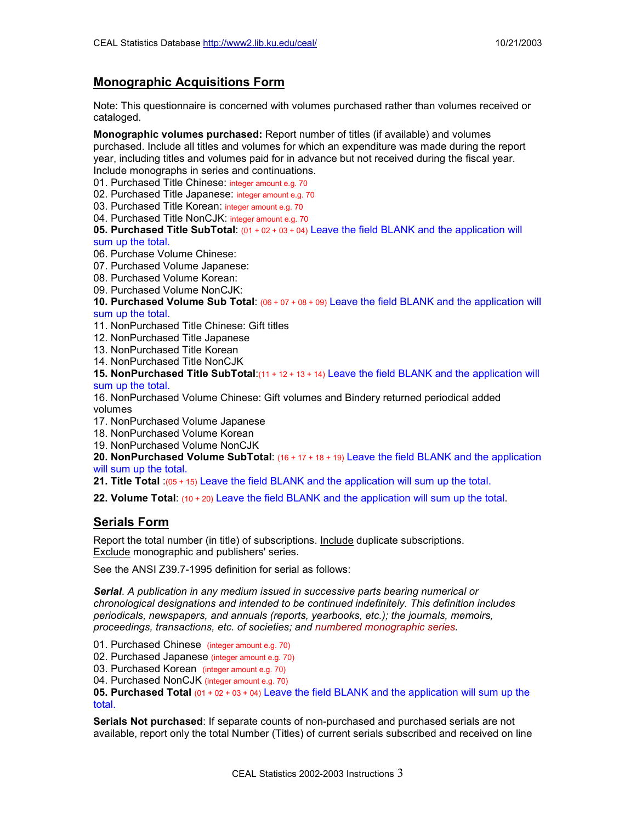# **Monographic Acquisitions Form**

Note: This questionnaire is concerned with volumes purchased rather than volumes received or cataloged.

**Monographic volumes purchased:** Report number of titles (if available) and volumes purchased. Include all titles and volumes for which an expenditure was made during the report year, including titles and volumes paid for in advance but not received during the fiscal year. Include monographs in series and continuations.

01. Purchased Title Chinese: integer amount e.g. 70

02. Purchased Title Japanese: integer amount e.g. 70

03. Purchased Title Korean: integer amount e.g. 70

04. Purchased Title NonCJK: integer amount e.g. 70

**05. Purchased Title SubTotal**: (01 + 02 + 03 + 04) Leave the field BLANK and the application will sum up the total.

06. Purchase Volume Chinese:

07. Purchased Volume Japanese:

08. Purchased Volume Korean:

09. Purchased Volume NonCJK:

**10. Purchased Volume Sub Total**: (06 + 07 + 08 + 09) Leave the field BLANK and the application will sum up the total.

11. NonPurchased Title Chinese: Gift titles

- 12. NonPurchased Title Japanese
- 13. NonPurchased Title Korean
- 14. NonPurchased Title NonCJK

**15. NonPurchased Title SubTotal**:(11 + 12 + 13 + 14) Leave the field BLANK and the application will sum up the total.

16. NonPurchased Volume Chinese: Gift volumes and Bindery returned periodical added volumes

- 17. NonPurchased Volume Japanese
- 18. NonPurchased Volume Korean
- 19. NonPurchased Volume NonCJK

**20. NonPurchased Volume SubTotal**: (16 + 17 + 18 + 19) Leave the field BLANK and the application will sum up the total.

**21. Title Total** :(05 + 15) Leave the field BLANK and the application will sum up the total.

**22. Volume Total**: (10 + 20) Leave the field BLANK and the application will sum up the total.

# **Serials Form**

Report the total number (in title) of subscriptions. Include duplicate subscriptions. Exclude monographic and publishers' series.

See the ANSI Z39.7-1995 definition for serial as follows:

*Serial*. *A publication in any medium issued in successive parts bearing numerical or chronological designations and intended to be continued indefinitely. This definition includes periodicals, newspapers, and annuals (reports, yearbooks, etc.); the journals, memoirs, proceedings, transactions, etc. of societies; and numbered monographic series.*

01. Purchased Chinese (integer amount e.g. 70)

02. Purchased Japanese (integer amount e.g. 70)

03. Purchased Korean (integer amount e.g. 70)

04. Purchased NonCJK (integer amount e.g. 70)

**05. Purchased Total** (01 + 02 + 03 + 04) Leave the field BLANK and the application will sum up the total.

**Serials Not purchased**: If separate counts of non-purchased and purchased serials are not available, report only the total Number (Titles) of current serials subscribed and received on line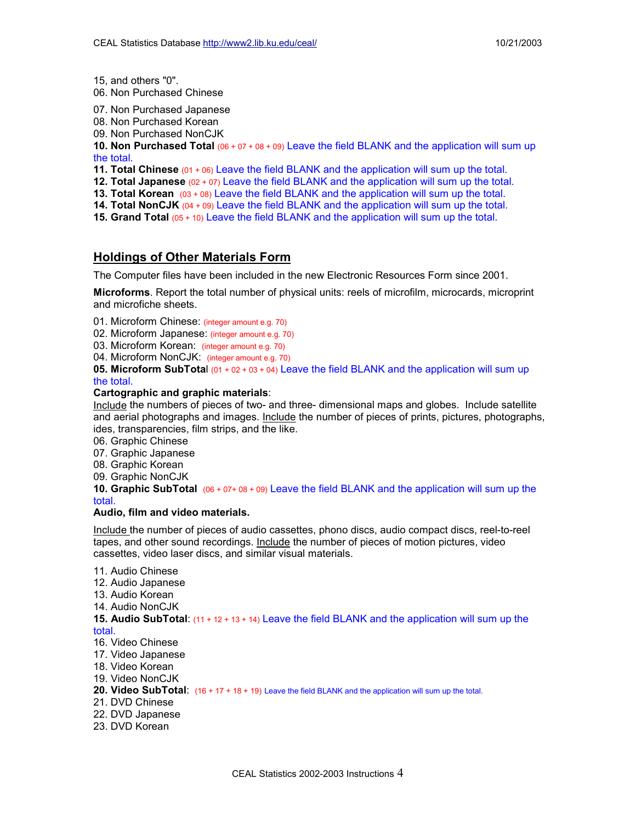15, and others "0".

- 06. Non Purchased Chinese
- 07. Non Purchased Japanese
- 08. Non Purchased Korean
- 09. Non Purchased NonCJK

**10. Non Purchased Total** (06 + 07 + 08 + 09) Leave the field BLANK and the application will sum up the total.

- **11. Total Chinese** (01 + 06) Leave the field BLANK and the application will sum up the total.
- **12. Total Japanese** (02 + 07) Leave the field BLANK and the application will sum up the total.
- **13. Total Korean** (03 + 08) Leave the field BLANK and the application will sum up the total.
- **14. Total NonCJK** (04 + 09) Leave the field BLANK and the application will sum up the total.
- **15. Grand Total** (05 + 10) Leave the field BLANK and the application will sum up the total.

# **Holdings of Other Materials Form**

The Computer files have been included in the new Electronic Resources Form since 2001.

**Microforms**. Report the total number of physical units: reels of microfilm, microcards, microprint and microfiche sheets.

01. Microform Chinese: (integer amount e.g. 70)

02. Microform Japanese: (integer amount e.g. 70)

03. Microform Korean: (integer amount e.g. 70)

04. Microform NonCJK: (integer amount e.g. 70)

**05. Microform SubTota**l (01 + 02 + 03 + 04) Leave the field BLANK and the application will sum up the total.

#### **Cartographic and graphic materials**:

Include the numbers of pieces of two- and three- dimensional maps and globes. Include satellite and aerial photographs and images. Include the number of pieces of prints, pictures, photographs, ides, transparencies, film strips, and the like.

06. Graphic Chinese

07. Graphic Japanese

- 08. Graphic Korean
- 09. Graphic NonCJK

**10. Graphic SubTotal** (06 + 07+ 08 + 09) Leave the field BLANK and the application will sum up the total.

#### **Audio, film and video materials.**

Include the number of pieces of audio cassettes, phono discs, audio compact discs, reel-to-reel tapes, and other sound recordings. Include the number of pieces of motion pictures, video cassettes, video laser discs, and similar visual materials.

11. Audio Chinese 12. Audio Japanese 13. Audio Korean 14. Audio NonCJK **15. Audio SubTotal**: (11 + 12 + 13 + 14) Leave the field BLANK and the application will sum up the total. 16. Video Chinese 17. Video Japanese 18. Video Korean 19. Video NonCJK 20. Video SubTotal:  $(16 + 17 + 18 + 19)$  Leave the field BLANK and the application will sum up the total. 21. DVD Chinese 22. DVD Japanese

23. DVD Korean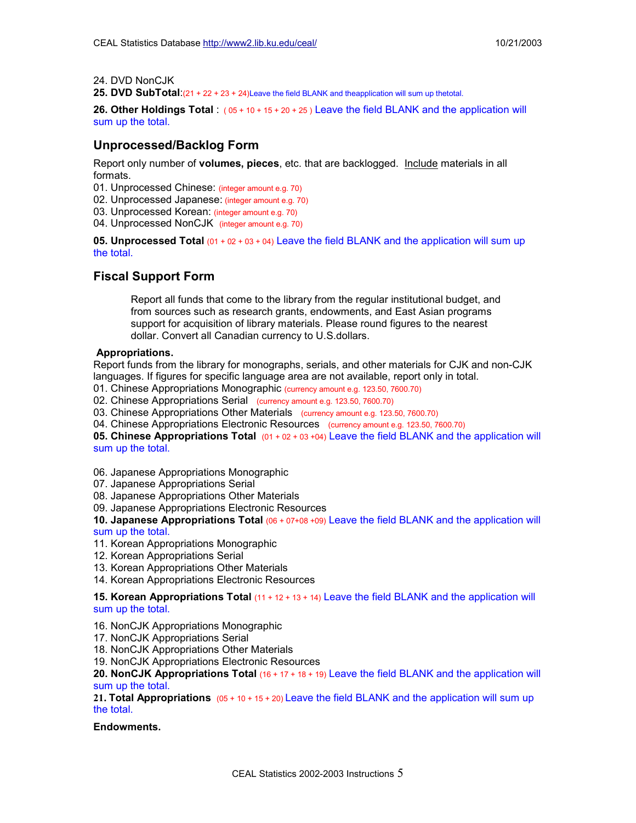24. DVD NonCJK

**25. DVD SubTotal**:(21 + 22 + 23 + 24)Leave the field BLANK and theapplication will sum up thetotal.

**26. Other Holdings Total** : ( 05 + 10 + 15 + 20 + 25 ) Leave the field BLANK and the application will sum up the total.

# **Unprocessed/Backlog Form**

Report only number of **volumes, pieces**, etc. that are backlogged. Include materials in all formats.

01. Unprocessed Chinese: (integer amount e.g. 70)

02. Unprocessed Japanese: (integer amount e.g. 70)

03. Unprocessed Korean: (integer amount e.g. 70)

04. Unprocessed NonCJK (integer amount e.g. 70)

**05. Unprocessed Total** (01 + 02 + 03 + 04) Leave the field BLANK and the application will sum up the total.

# **Fiscal Support Form**

Report all funds that come to the library from the regular institutional budget, and from sources such as research grants, endowments, and East Asian programs support for acquisition of library materials. Please round figures to the nearest dollar. Convert all Canadian currency to U.S.dollars.

#### **Appropriations.**

Report funds from the library for monographs, serials, and other materials for CJK and non-CJK languages. If figures for specific language area are not available, report only in total.

01. Chinese Appropriations Monographic (currency amount e.g. 123.50, 7600.70)

02. Chinese Appropriations Serial (currency amount e.g. 123.50, 7600.70)

03. Chinese Appropriations Other Materials (currency amount e.g. 123.50, 7600.70)

04. Chinese Appropriations Electronic Resources (currency amount e.g. 123.50, 7600.70)

**05. Chinese Appropriations Total** (01 + 02 + 03 +04) Leave the field BLANK and the application will sum up the total.

06. Japanese Appropriations Monographic

07. Japanese Appropriations Serial

08. Japanese Appropriations Other Materials

09. Japanese Appropriations Electronic Resources

**10. Japanese Appropriations Total** (06 + 07+08 +09) Leave the field BLANK and the application will sum up the total.

- 11. Korean Appropriations Monographic
- 12. Korean Appropriations Serial
- 13. Korean Appropriations Other Materials

14. Korean Appropriations Electronic Resources

**15. Korean Appropriations Total** (11 + 12 + 13 + 14) Leave the field BLANK and the application will sum up the total.

16. NonCJK Appropriations Monographic

17. NonCJK Appropriations Serial

18. NonCJK Appropriations Other Materials

19. NonCJK Appropriations Electronic Resources

**20. NonCJK Appropriations Total** (16 + 17 + 18 + 19) Leave the field BLANK and the application will sum up the total.

**21. Total Appropriations** (05 + 10 + 15 + 20) Leave the field BLANK and the application will sum up the total.

#### **Endowments.**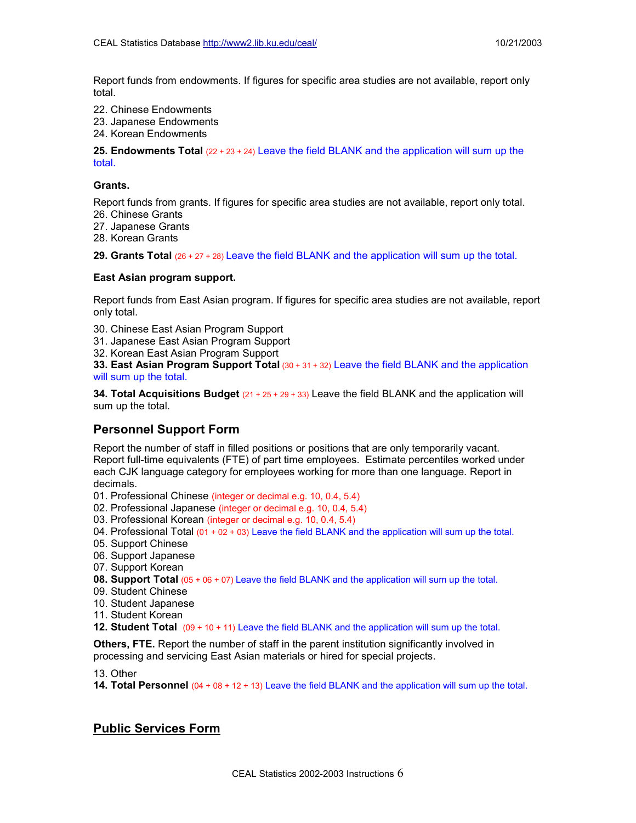Report funds from endowments. If figures for specific area studies are not available, report only total.

- 22. Chinese Endowments
- 23. Japanese Endowments
- 24. Korean Endowments

**25. Endowments Total** (22 + 23 + 24) Leave the field BLANK and the application will sum up the total.

#### **Grants.**

Report funds from grants. If figures for specific area studies are not available, report only total.

- 26. Chinese Grants
- 27. Japanese Grants
- 28. Korean Grants

**29. Grants Total** (26 + 27 <sup>+</sup> 28) Leave the field BLANK and the application will sum up the total.

#### **East Asian program support.**

Report funds from East Asian program. If figures for specific area studies are not available, report only total.

- 30. Chinese East Asian Program Support
- 31. Japanese East Asian Program Support
- 32. Korean East Asian Program Support

**33. East Asian Program Support Total** (30 + 31 + 32) Leave the field BLANK and the application will sum up the total.

**34. Total Acquisitions Budget** (21 + 25 + 29 + 33) Leave the field BLANK and the application will sum up the total.

# **Personnel Support Form**

Report the number of staff in filled positions or positions that are only temporarily vacant. Report full-time equivalents (FTE) of part time employees. Estimate percentiles worked under each CJK language category for employees working for more than one language. Report in decimals.

- 01. Professional Chinese (integer or decimal e.g. 10, 0.4, 5.4)
- 02. Professional Japanese (integer or decimal e.g. 10, 0.4, 5.4)
- 03. Professional Korean (integer or decimal e.g. 10, 0.4, 5.4)
- 04. Professional Total  $(01 + 02 + 03)$  Leave the field BLANK and the application will sum up the total.
- 05. Support Chinese
- 06. Support Japanese
- 07. Support Korean
- **08. Support Total** (05 + 06 + 07) Leave the field BLANK and the application will sum up the total.
- 09. Student Chinese
- 10. Student Japanese
- 11. Student Korean

**12. Student Total** (09 + 10 + 11) Leave the field BLANK and the application will sum up the total.

**Others, FTE.** Report the number of staff in the parent institution significantly involved in processing and servicing East Asian materials or hired for special projects.

13. Other

**14. Total Personnel** (04 + 08 + 12 + 13) Leave the field BLANK and the application will sum up the total.

# **Public Services Form**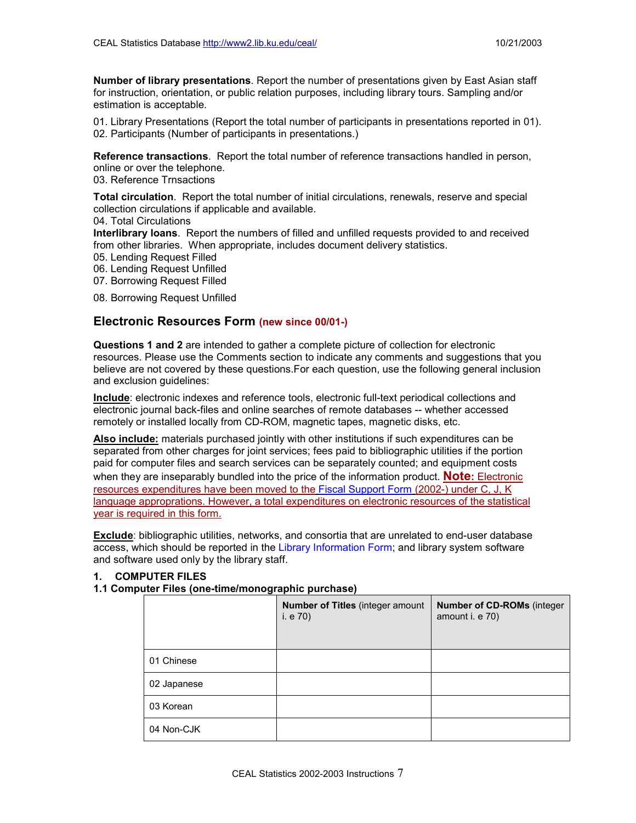**Number of library presentations**. Report the number of presentations given by East Asian staff for instruction, orientation, or public relation purposes, including library tours. Sampling and/or estimation is acceptable.

01. Library Presentations (Report the total number of participants in presentations reported in 01). 02. Participants (Number of participants in presentations.)

**Reference transactions**. Report the total number of reference transactions handled in person, online or over the telephone.

03. Reference Trnsactions

**Total circulation**. Report the total number of initial circulations, renewals, reserve and special collection circulations if applicable and available.

04. Total Circulations

**Interlibrary loans**. Report the numbers of filled and unfilled requests provided to and received from other libraries. When appropriate, includes document delivery statistics.

05. Lending Request Filled

- 06. Lending Request Unfilled
- 07. Borrowing Request Filled

08. Borrowing Request Unfilled

# **Electronic Resources Form (new since 00/01-)**

**Questions 1 and 2** are intended to gather a complete picture of collection for electronic resources. Please use the Comments section to indicate any comments and suggestions that you believe are not covered by these questions.For each question, use the following general inclusion and exclusion guidelines:

**Include**: electronic indexes and reference tools, electronic full-text periodical collections and electronic journal back-files and online searches of remote databases -- whether accessed remotely or installed locally from CD-ROM, magnetic tapes, magnetic disks, etc.

**Also include:** materials purchased jointly with other institutions if such expenditures can be separated from other charges for joint services; fees paid to bibliographic utilities if the portion paid for computer files and search services can be separately counted; and equipment costs when they are inseparably bundled into the price of the information product. **Note:** Electronic resources expenditures have been moved to the Fiscal Support Form (2002-) under C, J, K language approprations. However, a total expenditures on electronic resources of the statistical year is required in this form.

**Exclude**: bibliographic utilities, networks, and consortia that are unrelated to end-user database access, which should be reported in the Library Information Form; and library system software and software used only by the library staff.

#### **1. COMPUTER FILES**

# **1.1 Computer Files (one-time/monographic purchase)**

|             | <b>Number of Titles (integer amount</b><br>i. e 70) | <b>Number of CD-ROMs (integer)</b><br>amount i. e 70) |
|-------------|-----------------------------------------------------|-------------------------------------------------------|
| 01 Chinese  |                                                     |                                                       |
| 02 Japanese |                                                     |                                                       |
| 03 Korean   |                                                     |                                                       |
| 04 Non-CJK  |                                                     |                                                       |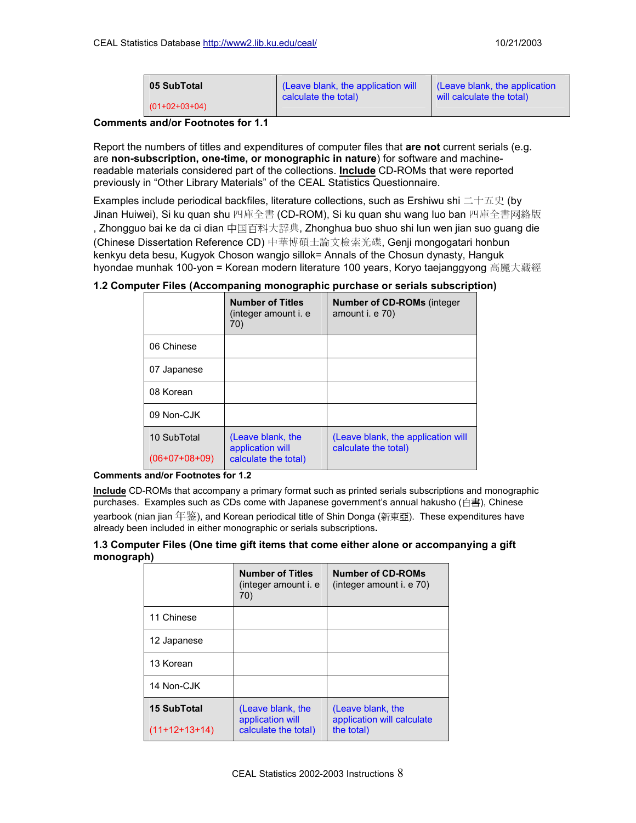| 05 SubTotal     | (Leave blank, the application will | (Leave blank, the application |
|-----------------|------------------------------------|-------------------------------|
| $(01+02+03+04)$ | calculate the total)               | will calculate the total)     |

#### **Comments and/or Footnotes for 1.1**

Report the numbers of titles and expenditures of computer files that **are not** current serials (e.g. are **non-subscription, one-time, or monographic in nature**) for software and machinereadable materials considered part of the collections. **Include** CD-ROMs that were reported previously in "Other Library Materials" of the CEAL Statistics Questionnaire.

Examples include periodical backfiles, literature collections, such as Ershiwu shi 二十五史 (by Jinan Huiwei), Si ku quan shu 四庫全書 (CD-ROM), Si ku quan shu wang luo ban 四庫全書网絡版 , Zhongguo bai ke da ci dian 中国百科大辞典, Zhonghua buo shuo shi lun wen jian suo guang die (Chinese Dissertation Reference CD) 中華博碩士論文檢索光碟, Genji mongogatari honbun kenkyu deta besu, Kugyok Choson wangjo sillok= Annals of the Chosun dynasty, Hanguk hyondae munhak 100-yon = Korean modern literature 100 years, Koryo taejanggyong 高麗大藏經

| 1.2 Computer Files (Accompaning monographic purchase or serials subscription) |  |  |  |  |
|-------------------------------------------------------------------------------|--|--|--|--|
|-------------------------------------------------------------------------------|--|--|--|--|

|                 | <b>Number of Titles</b><br>(integer amount i. e<br>70) | <b>Number of CD-ROMs (integer)</b><br>amount i. e 70)      |
|-----------------|--------------------------------------------------------|------------------------------------------------------------|
| 06 Chinese      |                                                        |                                                            |
| 07 Japanese     |                                                        |                                                            |
| 08 Korean       |                                                        |                                                            |
| 09 Non-CJK      |                                                        |                                                            |
| 10 SubTotal     | (Leave blank, the<br>application will                  | (Leave blank, the application will<br>calculate the total) |
| $(06+07+08+09)$ | calculate the total)                                   |                                                            |

#### **Comments and/or Footnotes for 1.2**

**Include** CD-ROMs that accompany a primary format such as printed serials subscriptions and monographic purchases. Examples such as CDs come with Japanese government's annual hakusho (白書), Chinese yearbook (nian jian 年鉴), and Korean periodical title of Shin Donga (新東亞). These expenditures have already been included in either monographic or serials subscriptions**.** 

#### **1.3 Computer Files (One time gift items that come either alone or accompanying a gift monograph)**

|                    | <b>Number of Titles</b><br>(integer amount i. e<br>70) | Number of CD-ROMs<br>(integer amount i. e 70)   |
|--------------------|--------------------------------------------------------|-------------------------------------------------|
| 11 Chinese         |                                                        |                                                 |
| 12 Japanese        |                                                        |                                                 |
| 13 Korean          |                                                        |                                                 |
| 14 Non-CJK         |                                                        |                                                 |
| <b>15 SubTotal</b> | (Leave blank, the<br>application will                  | (Leave blank, the<br>application will calculate |
| $(11+12+13+14)$    | calculate the total)                                   | the total)                                      |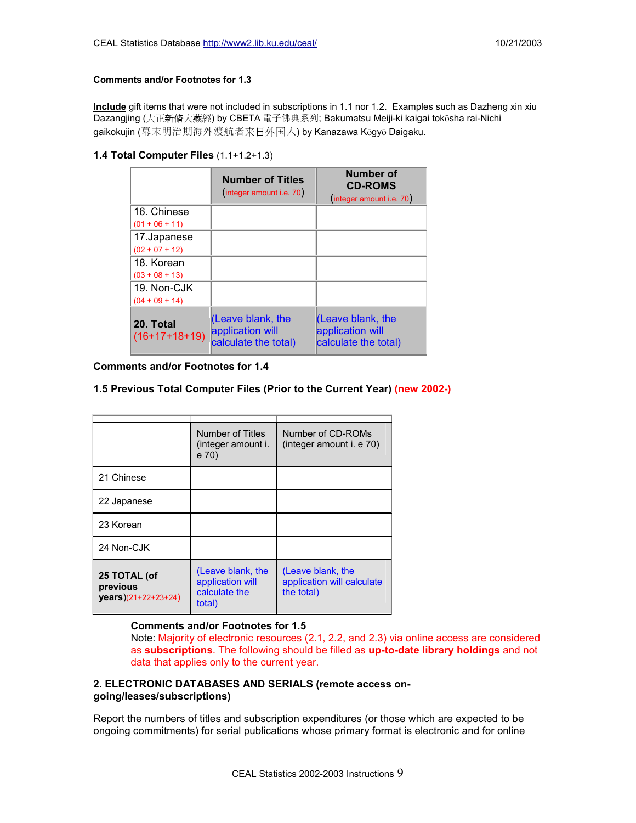#### **Comments and/or Footnotes for 1.3**

**Include** gift items that were not included in subscriptions in 1.1 nor 1.2. Examples such as Dazheng xin xiu Dazangjing (大正新脩大藏經) by CBETA 電子佛典系列; Bakumatsu Meiji-ki kaigai toksha rai-Nichi gaikokujin (幕末明治期海外渡航者来日外国人) by Kanazawa Kōgyō Daigaku.

#### **1.4 Total Computer Files** (1.1+1.2+1.3)

|                              | <b>Number of Titles</b><br>(integer amount i.e. 70)               | <b>Number of</b><br><b>CD-ROMS</b><br>(integer amount i.e. 70)         |
|------------------------------|-------------------------------------------------------------------|------------------------------------------------------------------------|
| 16. Chinese                  |                                                                   |                                                                        |
| $(01 + 06 + 11)$             |                                                                   |                                                                        |
| 17. Japanese                 |                                                                   |                                                                        |
| $(02 + 07 + 12)$             |                                                                   |                                                                        |
| 18. Korean                   |                                                                   |                                                                        |
| $(03 + 08 + 13)$             |                                                                   |                                                                        |
| 19. Non-CJK                  |                                                                   |                                                                        |
| $(04 + 09 + 14)$             |                                                                   |                                                                        |
| 20. Total<br>$(16+17+18+19)$ | $ $ (Leave blank, the<br>application will<br>calculate the total) | <u>l</u> (Leave blank, the<br>application will<br>calculate the total) |

**Comments and/or Footnotes for 1.4**

#### **1.5 Previous Total Computer Files (Prior to the Current Year) (new 2002-)**

|                                                           | Number of Titles<br>(integer amount i.<br>e 70)                  | Number of CD-ROMs<br>(integer amount i. e 70)                 |
|-----------------------------------------------------------|------------------------------------------------------------------|---------------------------------------------------------------|
| 21 Chinese                                                |                                                                  |                                                               |
| 22 Japanese                                               |                                                                  |                                                               |
| 23 Korean                                                 |                                                                  |                                                               |
| 24 Non-CJK                                                |                                                                  |                                                               |
| 25 TOTAL (of<br>previous<br>$\text{years}$ )(21+22+23+24) | (Leave blank, the<br>application will<br>calculate the<br>total) | (Leave blank, the<br>application will calculate<br>the total) |

#### **Comments and/or Footnotes for 1.5**

Note: Majority of electronic resources (2.1, 2.2, and 2.3) via online access are considered as **subscriptions**. The following should be filled as **up-to-date library holdings** and not data that applies only to the current year.

#### **2. ELECTRONIC DATABASES AND SERIALS (remote access ongoing/leases/subscriptions)**

Report the numbers of titles and subscription expenditures (or those which are expected to be ongoing commitments) for serial publications whose primary format is electronic and for online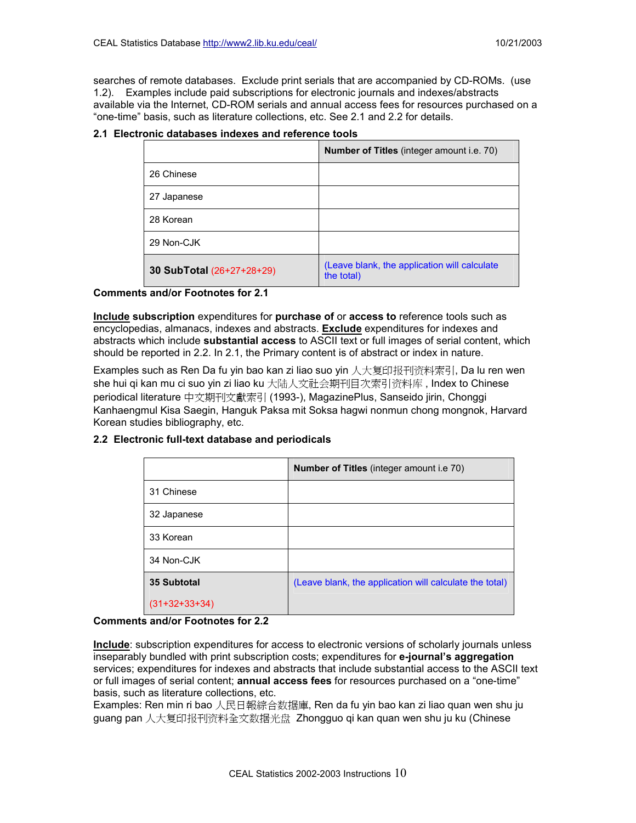searches of remote databases. Exclude print serials that are accompanied by CD-ROMs. (use 1.2). Examples include paid subscriptions for electronic journals and indexes/abstracts available via the Internet, CD-ROM serials and annual access fees for resources purchased on a "one-time" basis, such as literature collections, etc. See 2.1 and 2.2 for details.

|                           | <b>Number of Titles</b> (integer amount i.e. 70)           |
|---------------------------|------------------------------------------------------------|
| 26 Chinese                |                                                            |
| 27 Japanese               |                                                            |
| 28 Korean                 |                                                            |
| 29 Non-CJK                |                                                            |
| 30 SubTotal (26+27+28+29) | (Leave blank, the application will calculate<br>the total) |

# **2.1 Electronic databases indexes and reference tools**

**Comments and/or Footnotes for 2.1**

**Include subscription** expenditures for **purchase of** or **access to** reference tools such as encyclopedias, almanacs, indexes and abstracts. **Exclude** expenditures for indexes and abstracts which include **substantial access** to ASCII text or full images of serial content, which should be reported in 2.2. In 2.1, the Primary content is of abstract or index in nature.

Examples such as Ren Da fu yin bao kan zi liao suo yin 人大复印报刊资料索引, Da lu ren wen she hui qi kan mu ci suo yin zi liao ku 大陆人文社会期刊目次索引资料库 , Index to Chinese periodical literature 中文期刊文獻索引 (1993-), MagazinePlus, Sanseido jirin, Chonggi Kanhaengmul Kisa Saegin, Hanguk Paksa mit Soksa hagwi nonmun chong mongnok, Harvard Korean studies bibliography, etc.

|                    | <b>Number of Titles (integer amount i.e 70)</b>         |
|--------------------|---------------------------------------------------------|
| 31 Chinese         |                                                         |
| 32 Japanese        |                                                         |
| 33 Korean          |                                                         |
| 34 Non-CJK         |                                                         |
| <b>35 Subtotal</b> | (Leave blank, the application will calculate the total) |
| $(31+32+33+34)$    |                                                         |

# **2.2 Electronic full-text database and periodicals**

#### **Comments and/or Footnotes for 2.2**

**Include**: subscription expenditures for access to electronic versions of scholarly journals unless inseparably bundled with print subscription costs; expenditures for **e-journal's aggregation**  services; expenditures for indexes and abstracts that include substantial access to the ASCII text or full images of serial content; **annual access fees** for resources purchased on a "one-time" basis, such as literature collections, etc.

Examples: Ren min ri bao 人民日報綜合数据庫, Ren da fu yin bao kan zi liao quan wen shu ju guang pan 人大复印报刊资料全文数据光盘 Zhongguo qi kan quan wen shu ju ku (Chinese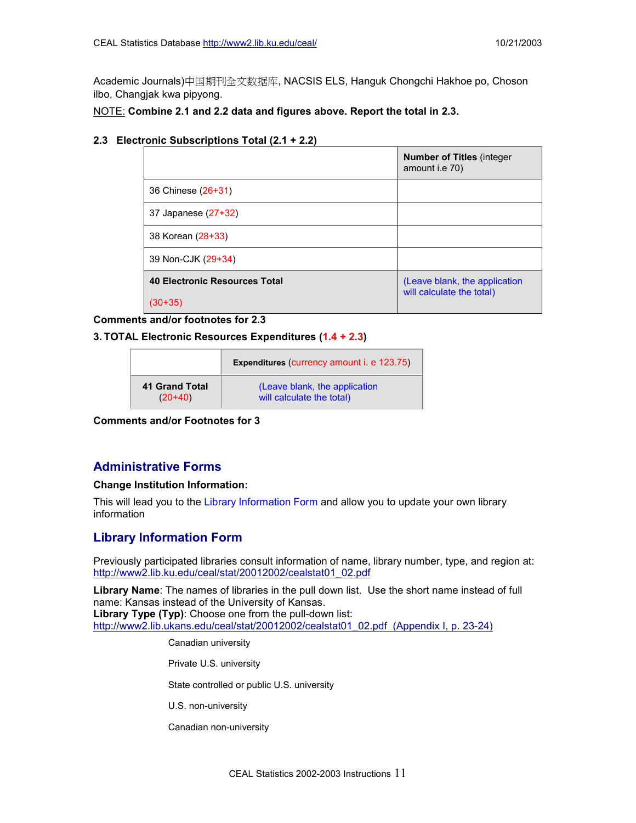Academic Journals)中国期刊全文数据库, NACSIS ELS, Hanguk Chongchi Hakhoe po, Choson ilbo, Changjak kwa pipyong.

NOTE: **Combine 2.1 and 2.2 data and figures above. Report the total in 2.3.**

#### **2.3 Electronic Subscriptions Total (2.1 + 2.2)**

|                               | <b>Number of Titles (integer)</b><br>amount i.e 70)        |
|-------------------------------|------------------------------------------------------------|
| 36 Chinese (26+31)            |                                                            |
| 37 Japanese (27+32)           |                                                            |
| 38 Korean (28+33)             |                                                            |
| 39 Non-CJK (29+34)            |                                                            |
| 40 Electronic Resources Total | (Leave blank, the application<br>will calculate the total) |
| $(30+35)$                     |                                                            |

#### **Comments and/or footnotes for 2.3**

#### **3. TOTAL Electronic Resources Expenditures (1.4 + 2.3)**

|                | <b>Expenditures (currency amount i. e 123.75)</b> |  |
|----------------|---------------------------------------------------|--|
| 41 Grand Total | (Leave blank, the application                     |  |
| $(20+40)$      | will calculate the total)                         |  |

**Comments and/or Footnotes for 3**

# **Administrative Forms**

#### **Change Institution Information:**

This will lead you to the Library Information Form and allow you to update your own library information

# **Library Information Form**

Previously participated libraries consult information of name, library number, type, and region at: [http://www2.lib.ku.edu/ceal/stat/20012002/cealstat01\\_02.pdf](http://www2.lib.ku.edu/ceal/stat/20012002/cealstat01_02.pdf)

**Library Name**: The names of libraries in the pull down list. Use the short name instead of full name: Kansas instead of the University of Kansas. **Library Type (Typ)**: Choose one from the pull-down list: [http://www2.lib.ukans.edu/ceal/stat/20012002/cealstat01\\_02.pdf \(Appendix I, p. 23-24\)](http://www2.lib.ku.edu/ceal/stat/19992000/library_list99_00.pdf)

Canadian university

Private U.S. university

State controlled or public U.S. university

U.S. non-university

Canadian non-university